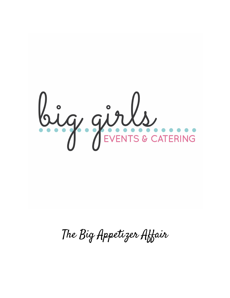

The Big Appetizer Affair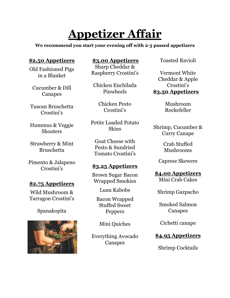# **Appetizer Affair**

**We recommend you start your evening off with 2-3 passed appetizers**

#### **\$2.50 Appetizers**

Old Fashioned Pigs in a Blanket

Cucumber & Dill Canapes

Tuscan Bruschetta Crostini's

Hummus & Veggie **Shooters** 

Strawberry & Mint Bruschetta

Pimento & Jalapeno Crostini's

#### **\$2.75 Appetizers**

Wild Mushroom & Tarragon Crostini's

### Spanakopita



**\$3.00 Appetizers**

Sharp Cheddar & Raspberry Crostini's

Chicken Enchilada Pinwheels

> Chicken Pesto Crostini's

Petite Loaded Potato Skins

Goat Cheese with Pesto & Sundried Tomato Crostini's

### **\$3.25 Appetizers**

Brown Sugar Bacon Wrapped Smokies

Luau Kabobs

Bacon Wrapped Stuffed Sweet Peppers

Mini Quiches

Everything Avocado Canapes

Toasted Ravioli

Vermont White Cheddar & Apple Crostini's **\$3.50 Appetizers**

> Mushroom Rockefeller

Shrimp, Cucumber & Curry Canape

> Crab Stuffed Mushrooms

Caprese Skewers

**\$4.00 Appetizers** Mini Crab Cakes

Shrimp Gazpacho

Smoked Salmon Canapes

Cichetti canape

### **\$4.95 Appetizers**

Shrimp Cocktails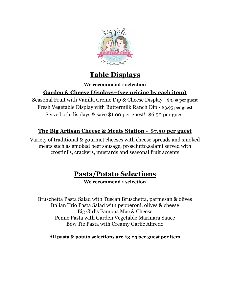

# **Table Displays**

#### **We recommend 1 selection**

### **Garden & Cheese Displays–(see pricing by each item)**

Seasonal Fruit with Vanilla Creme Dip & Cheese Display - \$3.95 per guest Fresh Vegetable Display with Buttermilk Ranch Dip - \$3.95 per guest Serve both displays & save \$1.00 per guest! \$6.50 per guest

### **The Big Artisan Cheese & Meats Station - \$7.50 per guest**

Variety of traditional & gourmet cheeses with cheese spreads and smoked meats such as smoked beef sausage, prosciutto,salami served with crostini's, crackers, mustards and seasonal fruit accents

# **Pasta/Potato Selections**

#### **We recommend 1 selection**

Bruschetta Pasta Salad with Tuscan Bruschetta, parmesan & olives Italian Trio Pasta Salad with pepperoni, olives & cheese Big Girl's Famous Mac & Cheese Penne Pasta with Garden Vegetable Marinara Sauce Bow Tie Pasta with Creamy Garlic Alfredo

**All pasta & potato selections are \$3.25 per guest per item**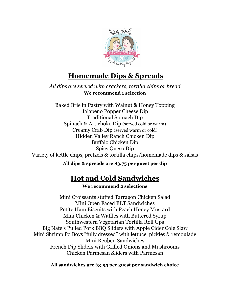

### **Homemade Dips & Spreads**

*All dips are served with crackers, tortilla chips or bread* **We recommend 1 selection**

Baked Brie in Pastry with Walnut & Honey Topping Jalapeno Popper Cheese Dip Traditional Spinach Dip Spinach & Artichoke Dip (served cold or warm) Creamy Crab Dip (served warm or cold) Hidden Valley Ranch Chicken Dip Buffalo Chicken Dip Spicy Queso Dip Variety of kettle chips, pretzels & tortilla chips/homemade dips & salsas

**All dips & spreads are \$3.75 per guest per dip**

# **Hot and Cold Sandwiches**

**We recommend 2 selections**

Mini Croissants stuffed Tarragon Chicken Salad Mini Open Faced BLT Sandwiches Petite Ham Biscuits with Peach Honey Mustard Mini Chicken & Waffles with Buttered Syrup Southwestern Vegetarian Tortilla Roll Ups Big Nate's Pulled Pork BBQ Sliders with Apple Cider Cole Slaw Mini Shrimp Po Boys "fully dressed" with lettuce, pickles & remoulade Mini Reuben Sandwiches French Dip Sliders with Grilled Onions and Mushrooms Chicken Parmesan Sliders with Parmesan

**All sandwiches are \$3.95 per guest per sandwich choice**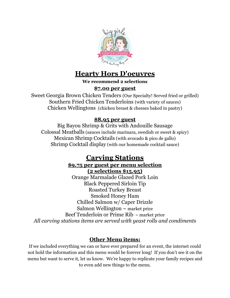

### **Hearty Hors D'oeuvres**

**We recommend 2 selections**

### **\$7.00 per guest**

Sweet Georgia Brown Chicken Tenders (Our Specialty! Served fried or grilled) Southern Fried Chicken Tenderloins (with variety of sauces) Chicken Wellingtons (chicken breast & cheeses baked in pastry)

#### **\$8.95 per guest**

Big Bayou Shrimp & Grits with Andouille Sausage Colossal Meatballs (sauces include marinara, swedish or sweet & spicy) Mexican Shrimp Cocktails (with avocado & pico de gallo) Shrimp Cocktail display (with our homemade cocktail sauce)

# **Carving Stations**

#### **\$9.75 per guest per menu selection (2 selections \$15.95)**

Orange Marmalade Glazed Pork Loin Black Peppered Sirloin Tip Roasted Turkey Breast Smoked Honey Ham Chilled Salmon w/ Caper Drizzle Salmon Wellington  $\sim$  market price Beef Tenderloin or Prime Rib ~ market price *All carving stations items are served with yeast rolls and condiments*

### **Other Menu items:**

If we included everything we can or have ever prepared for an event, the internet could not hold the information and this menu would be forever long! If you don't see it on the menu but want to serve it, let us know. We're happy to replicate your family recipes and to even add new things to the menu.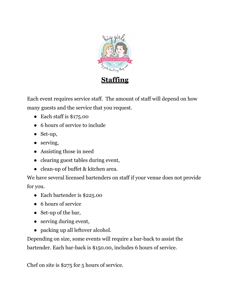

Each event requires service staff. The amount of staff will depend on how many guests and the service that you request.

- $\bullet$  Each staff is \$175.00
- 6 hours of service to include
- Set-up,
- serving,
- Assisting those in need
- clearing guest tables during event,
- clean-up of buffet & kitchen area.

We have several licensed bartenders on staff if your venue does not provide for you.

- Each bartender is \$225.00
- 6 hours of service
- Set-up of the bar,
- serving during event,
- packing up all leftover alcohol.

Depending on size, some events will require a bar-back to assist the bartender. Each bar-back is \$150.00, includes 6 hours of service.

Chef on site is \$275 for 5 hours of service.